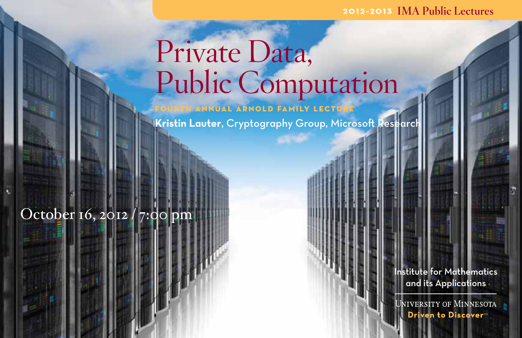#### 2012–2013 IMA Public Lectures

# Private Data, Public Computation

**INUAL ARNOLD FAMILY LECTU Kristin Lauter, Cryptography Group, Microsoft Research** 

## October 16, 2012 / 7:00 pm

Institute for Mathematics and its Applications

niversity of Minnesota Driven to Discovers